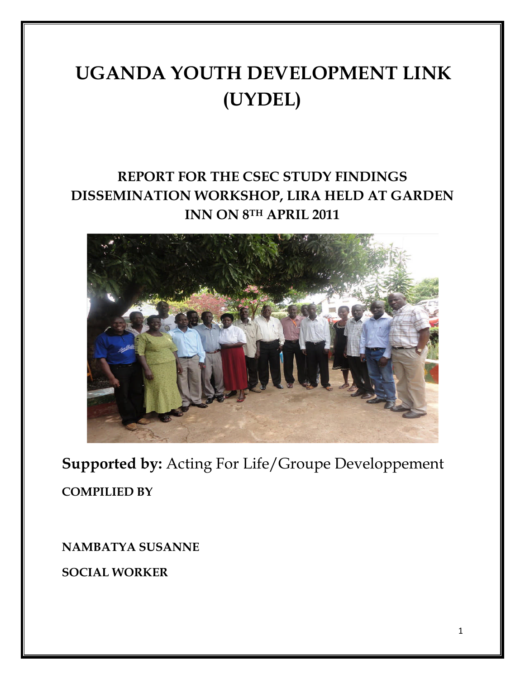# **UGANDA YOUTH DEVELOPMENT LINK (UYDEL)**

# **REPORT FOR THE CSEC STUDY FINDINGS DISSEMINATION WORKSHOP, LIRA HELD AT GARDEN INN ON 8TH APRIL 2011**



**Supported by:** Acting For Life/Groupe Developpement **COMPILIED BY**

**NAMBATYA SUSANNE**

**SOCIAL WORKER**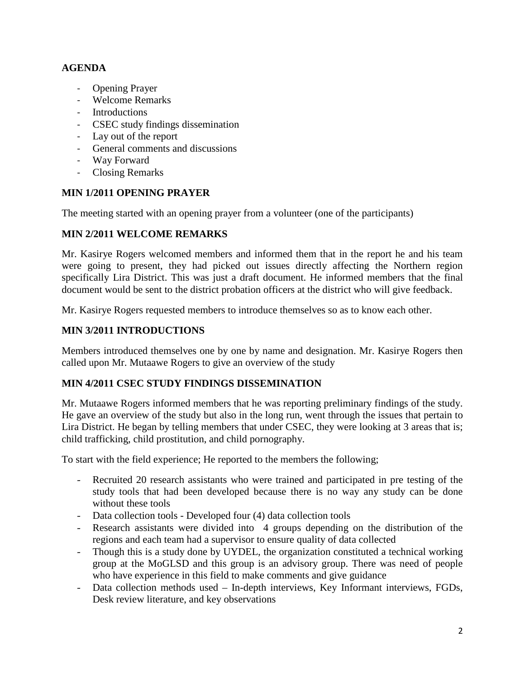# **AGENDA**

- Opening Prayer
- Welcome Remarks
- Introductions
- CSEC study findings dissemination
- Lay out of the report
- General comments and discussions
- Way Forward
- Closing Remarks

# **MIN 1/2011 OPENING PRAYER**

The meeting started with an opening prayer from a volunteer (one of the participants)

# **MIN 2/2011 WELCOME REMARKS**

Mr. Kasirye Rogers welcomed members and informed them that in the report he and his team were going to present, they had picked out issues directly affecting the Northern region specifically Lira District. This was just a draft document. He informed members that the final document would be sent to the district probation officers at the district who will give feedback.

Mr. Kasirye Rogers requested members to introduce themselves so as to know each other.

# **MIN 3/2011 INTRODUCTIONS**

Members introduced themselves one by one by name and designation. Mr. Kasirye Rogers then called upon Mr. Mutaawe Rogers to give an overview of the study

#### **MIN 4/2011 CSEC STUDY FINDINGS DISSEMINATION**

Mr. Mutaawe Rogers informed members that he was reporting preliminary findings of the study. He gave an overview of the study but also in the long run, went through the issues that pertain to Lira District. He began by telling members that under CSEC, they were looking at 3 areas that is; child trafficking, child prostitution, and child pornography.

To start with the field experience; He reported to the members the following;

- Recruited 20 research assistants who were trained and participated in pre testing of the study tools that had been developed because there is no way any study can be done without these tools
- Data collection tools Developed four (4) data collection tools
- Research assistants were divided into 4 groups depending on the distribution of the regions and each team had a supervisor to ensure quality of data collected
- Though this is a study done by UYDEL, the organization constituted a technical working group at the MoGLSD and this group is an advisory group. There was need of people who have experience in this field to make comments and give guidance
- Data collection methods used In-depth interviews, Key Informant interviews, FGDs, Desk review literature, and key observations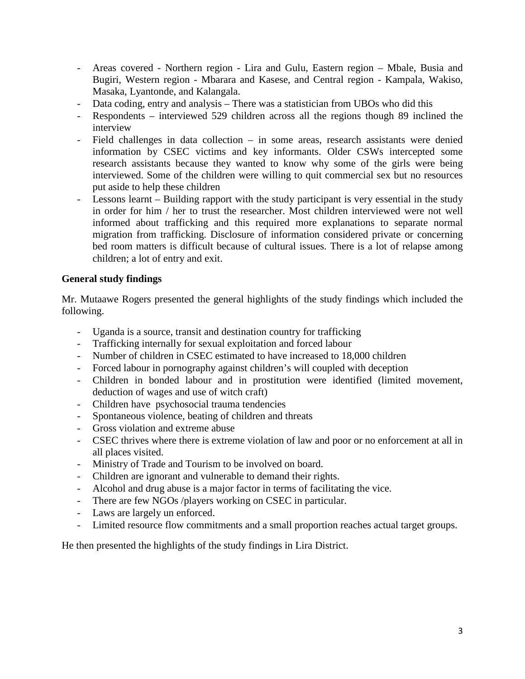- Areas covered Northern region Lira and Gulu, Eastern region Mbale, Busia and Bugiri, Western region - Mbarara and Kasese, and Central region - Kampala, Wakiso, Masaka, Lyantonde, and Kalangala.
- Data coding, entry and analysis There was a statistician from UBOs who did this
- Respondents interviewed 529 children across all the regions though 89 inclined the interview
- Field challenges in data collection in some areas, research assistants were denied information by CSEC victims and key informants. Older CSWs intercepted some research assistants because they wanted to know why some of the girls were being interviewed. Some of the children were willing to quit commercial sex but no resources put aside to help these children
- Lessons learnt Building rapport with the study participant is very essential in the study in order for him / her to trust the researcher. Most children interviewed were not well informed about trafficking and this required more explanations to separate normal migration from trafficking. Disclosure of information considered private or concerning bed room matters is difficult because of cultural issues. There is a lot of relapse among children; a lot of entry and exit.

# **General study findings**

Mr. Mutaawe Rogers presented the general highlights of the study findings which included the following.

- Uganda is a source, transit and destination country for trafficking
- Trafficking internally for sexual exploitation and forced labour
- Number of children in CSEC estimated to have increased to 18,000 children
- Forced labour in pornography against children's will coupled with deception
- Children in bonded labour and in prostitution were identified (limited movement, deduction of wages and use of witch craft)
- Children have psychosocial trauma tendencies
- Spontaneous violence, beating of children and threats
- Gross violation and extreme abuse
- CSEC thrives where there is extreme violation of law and poor or no enforcement at all in all places visited.
- Ministry of Trade and Tourism to be involved on board.
- Children are ignorant and vulnerable to demand their rights.
- Alcohol and drug abuse is a major factor in terms of facilitating the vice.
- There are few NGOs /players working on CSEC in particular.
- Laws are largely un enforced.
- Limited resource flow commitments and a small proportion reaches actual target groups.

He then presented the highlights of the study findings in Lira District.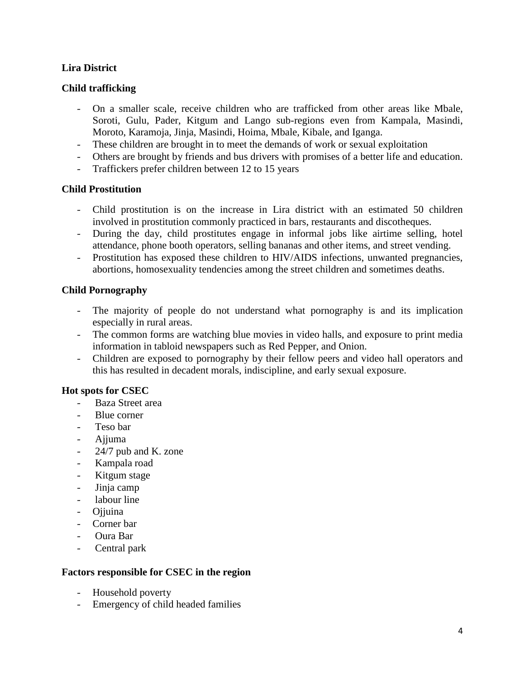# **Lira District**

### **Child trafficking**

- On a smaller scale, receive children who are trafficked from other areas like Mbale, Soroti, Gulu, Pader, Kitgum and Lango sub-regions even from Kampala, Masindi, Moroto, Karamoja, Jinja, Masindi, Hoima, Mbale, Kibale, and Iganga.
- These children are brought in to meet the demands of work or sexual exploitation
- Others are brought by friends and bus drivers with promises of a better life and education.
- Traffickers prefer children between 12 to 15 years

# **Child Prostitution**

- Child prostitution is on the increase in Lira district with an estimated 50 children involved in prostitution commonly practiced in bars, restaurants and discotheques.
- During the day, child prostitutes engage in informal jobs like airtime selling, hotel attendance, phone booth operators, selling bananas and other items, and street vending.
- Prostitution has exposed these children to HIV/AIDS infections, unwanted pregnancies, abortions, homosexuality tendencies among the street children and sometimes deaths.

# **Child Pornography**

- The majority of people do not understand what pornography is and its implication especially in rural areas.
- The common forms are watching blue movies in video halls, and exposure to print media information in tabloid newspapers such as Red Pepper, and Onion.
- Children are exposed to pornography by their fellow peers and video hall operators and this has resulted in decadent morals, indiscipline, and early sexual exposure.

#### **Hot spots for CSEC**

- Baza Street area
- Blue corner
- Teso bar
- Ajjuma
- 24/7 pub and K. zone
- Kampala road
- Kitgum stage
- Jinja camp
- labour line
- Ojjuina
- Corner bar
- Oura Bar
- Central park

#### **Factors responsible for CSEC in the region**

- Household poverty
- Emergency of child headed families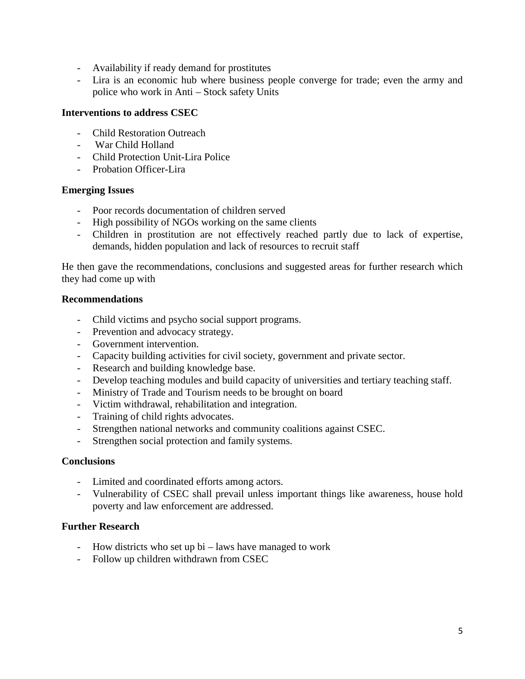- Availability if ready demand for prostitutes
- Lira is an economic hub where business people converge for trade; even the army and police who work in Anti – Stock safety Units

#### **Interventions to address CSEC**

- Child Restoration Outreach
- War Child Holland
- Child Protection Unit-Lira Police
- Probation Officer-Lira

#### **Emerging Issues**

- Poor records documentation of children served
- High possibility of NGOs working on the same clients
- Children in prostitution are not effectively reached partly due to lack of expertise, demands, hidden population and lack of resources to recruit staff

He then gave the recommendations, conclusions and suggested areas for further research which they had come up with

#### **Recommendations**

- Child victims and psycho social support programs.
- Prevention and advocacy strategy.
- Government intervention.
- Capacity building activities for civil society, government and private sector.
- Research and building knowledge base.
- Develop teaching modules and build capacity of universities and tertiary teaching staff.
- Ministry of Trade and Tourism needs to be brought on board
- Victim withdrawal, rehabilitation and integration.
- Training of child rights advocates.
- Strengthen national networks and community coalitions against CSEC.
- Strengthen social protection and family systems.

#### **Conclusions**

- Limited and coordinated efforts among actors.
- Vulnerability of CSEC shall prevail unless important things like awareness, house hold poverty and law enforcement are addressed.

# **Further Research**

- How districts who set up bi laws have managed to work
- Follow up children withdrawn from CSEC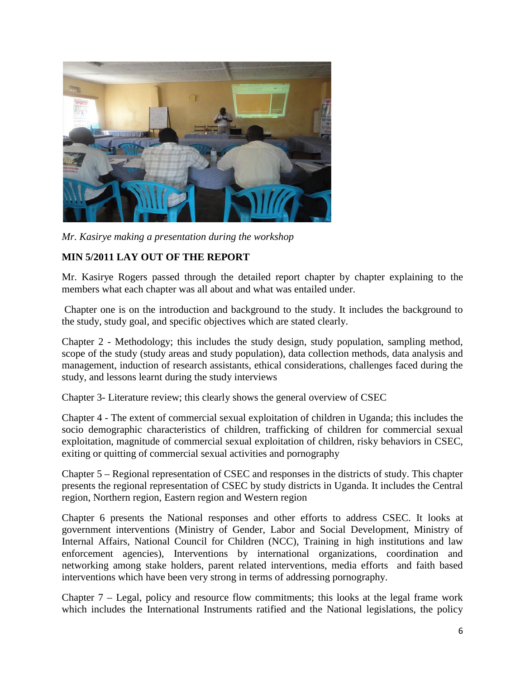

*Mr. Kasirye making a presentation during the workshop*

# **MIN 5/2011 LAY OUT OF THE REPORT**

Mr. Kasirye Rogers passed through the detailed report chapter by chapter explaining to the members what each chapter was all about and what was entailed under.

Chapter one is on the introduction and background to the study. It includes the background to the study, study goal, and specific objectives which are stated clearly.

Chapter 2 - Methodology; this includes the study design, study population, sampling method, scope of the study (study areas and study population), data collection methods, data analysis and management, induction of research assistants, ethical considerations, challenges faced during the study, and lessons learnt during the study interviews

Chapter 3- Literature review; this clearly shows the general overview of CSEC

Chapter 4 - The extent of commercial sexual exploitation of children in Uganda; this includes the socio demographic characteristics of children, trafficking of children for commercial sexual exploitation, magnitude of commercial sexual exploitation of children, risky behaviors in CSEC, exiting or quitting of commercial sexual activities and pornography

Chapter 5 – Regional representation of CSEC and responses in the districts of study. This chapter presents the regional representation of CSEC by study districts in Uganda. It includes the Central region, Northern region, Eastern region and Western region

Chapter 6 presents the National responses and other efforts to address CSEC. It looks at government interventions (Ministry of Gender, Labor and Social Development, Ministry of Internal Affairs, National Council for Children (NCC), Training in high institutions and law enforcement agencies), Interventions by international organizations, coordination and networking among stake holders, parent related interventions, media efforts and faith based interventions which have been very strong in terms of addressing pornography.

Chapter 7 – Legal, policy and resource flow commitments; this looks at the legal frame work which includes the International Instruments ratified and the National legislations, the policy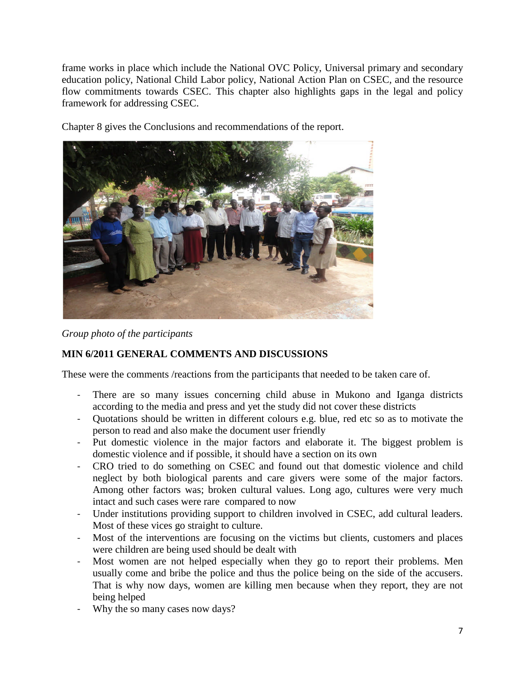frame works in place which include the National OVC Policy, Universal primary and secondary education policy, National Child Labor policy, National Action Plan on CSEC*,* and the resource flow commitments towards CSEC. This chapter also highlights gaps in the legal and policy framework for addressing CSEC.

Chapter 8 gives the Conclusions and recommendations of the report.



*Group photo of the participants*

# **MIN 6/2011 GENERAL COMMENTS AND DISCUSSIONS**

These were the comments /reactions from the participants that needed to be taken care of.

- There are so many issues concerning child abuse in Mukono and Iganga districts according to the media and press and yet the study did not cover these districts
- Quotations should be written in different colours e.g. blue, red etc so as to motivate the person to read and also make the document user friendly
- Put domestic violence in the major factors and elaborate it. The biggest problem is domestic violence and if possible, it should have a section on its own
- CRO tried to do something on CSEC and found out that domestic violence and child neglect by both biological parents and care givers were some of the major factors. Among other factors was; broken cultural values. Long ago, cultures were very much intact and such cases were rare compared to now
- Under institutions providing support to children involved in CSEC, add cultural leaders. Most of these vices go straight to culture.
- Most of the interventions are focusing on the victims but clients, customers and places were children are being used should be dealt with
- Most women are not helped especially when they go to report their problems. Men usually come and bribe the police and thus the police being on the side of the accusers. That is why now days, women are killing men because when they report, they are not being helped
- Why the so many cases now days?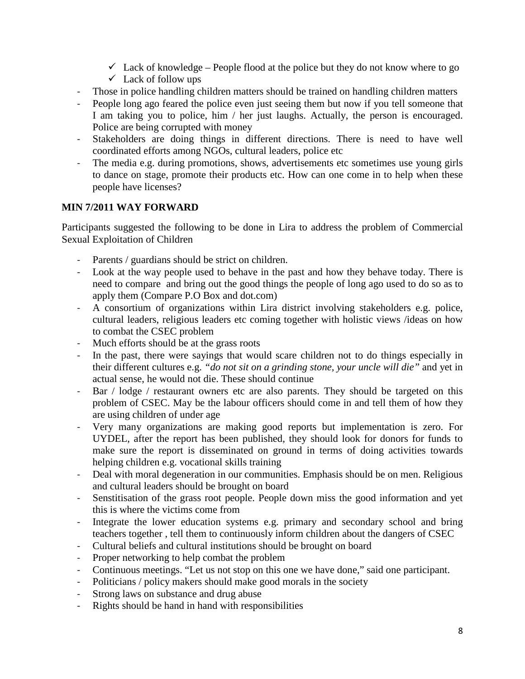- $\checkmark$  Lack of knowledge People flood at the police but they do not know where to go
- $\checkmark$  Lack of follow ups
- Those in police handling children matters should be trained on handling children matters
- People long ago feared the police even just seeing them but now if you tell someone that I am taking you to police, him / her just laughs. Actually, the person is encouraged. Police are being corrupted with money
- Stakeholders are doing things in different directions. There is need to have well coordinated efforts among NGOs, cultural leaders, police etc
- The media e.g. during promotions, shows, advertisements etc sometimes use young girls to dance on stage, promote their products etc. How can one come in to help when these people have licenses?

# **MIN 7/2011 WAY FORWARD**

Participants suggested the following to be done in Lira to address the problem of Commercial Sexual Exploitation of Children

- Parents / guardians should be strict on children.
- Look at the way people used to behave in the past and how they behave today. There is need to compare and bring out the good things the people of long ago used to do so as to apply them (Compare P.O Box and dot.com)
- A consortium of organizations within Lira district involving stakeholders e.g. police, cultural leaders, religious leaders etc coming together with holistic views /ideas on how to combat the CSEC problem
- Much efforts should be at the grass roots
- In the past, there were sayings that would scare children not to do things especially in their different cultures e.g. *"do not sit on a grinding stone, your uncle will die"* and yet in actual sense, he would not die. These should continue
- Bar / lodge / restaurant owners etc are also parents. They should be targeted on this problem of CSEC. May be the labour officers should come in and tell them of how they are using children of under age
- Very many organizations are making good reports but implementation is zero. For UYDEL, after the report has been published, they should look for donors for funds to make sure the report is disseminated on ground in terms of doing activities towards helping children e.g. vocational skills training
- Deal with moral degeneration in our communities. Emphasis should be on men. Religious and cultural leaders should be brought on board
- Senstitisation of the grass root people. People down miss the good information and yet this is where the victims come from
- Integrate the lower education systems e.g. primary and secondary school and bring teachers together , tell them to continuously inform children about the dangers of CSEC
- Cultural beliefs and cultural institutions should be brought on board
- Proper networking to help combat the problem
- Continuous meetings. "Let us not stop on this one we have done," said one participant.
- Politicians / policy makers should make good morals in the society
- Strong laws on substance and drug abuse
- Rights should be hand in hand with responsibilities